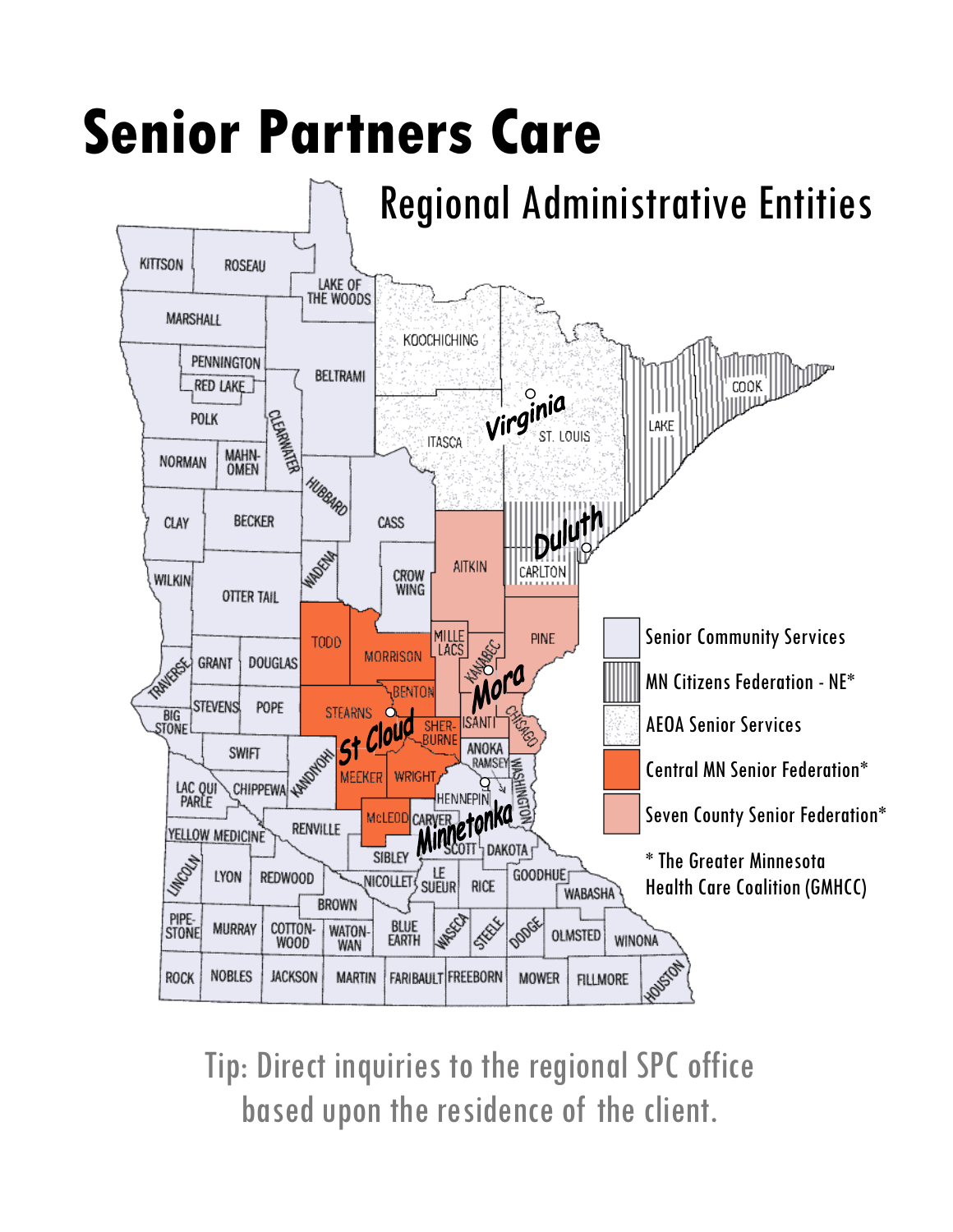## **Senior Partners Care**



Tip: Direct inquiries to the regional SPC office based upon the residence of the client.